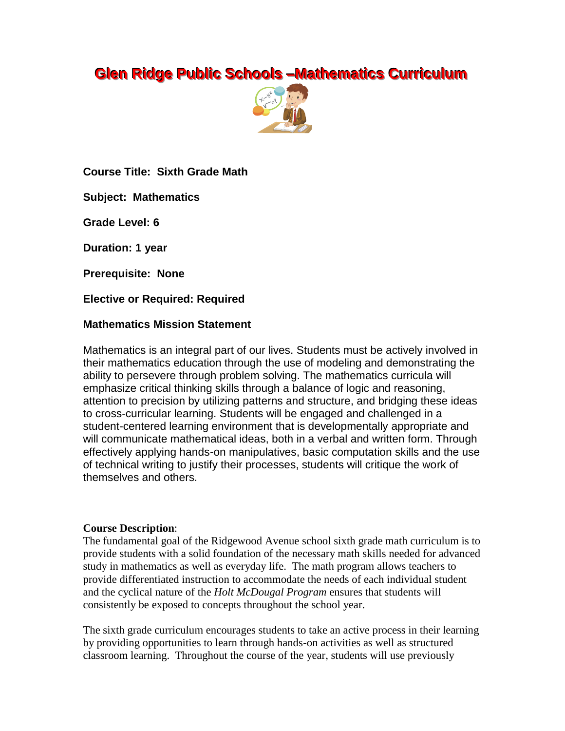# **Glen Ridge Public Schools –Mathematics Curriculum**



**Course Title: Sixth Grade Math**

**Subject: Mathematics**

**Grade Level: 6**

**Duration: 1 year**

**Prerequisite: None**

**Elective or Required: Required**

### **Mathematics Mission Statement**

Mathematics is an integral part of our lives. Students must be actively involved in their mathematics education through the use of modeling and demonstrating the ability to persevere through problem solving. The mathematics curricula will emphasize critical thinking skills through a balance of logic and reasoning, attention to precision by utilizing patterns and structure, and bridging these ideas to cross-curricular learning. Students will be engaged and challenged in a student-centered learning environment that is developmentally appropriate and will communicate mathematical ideas, both in a verbal and written form. Through effectively applying hands-on manipulatives, basic computation skills and the use of technical writing to justify their processes, students will critique the work of themselves and others.

#### **Course Description**:

The fundamental goal of the Ridgewood Avenue school sixth grade math curriculum is to provide students with a solid foundation of the necessary math skills needed for advanced study in mathematics as well as everyday life. The math program allows teachers to provide differentiated instruction to accommodate the needs of each individual student and the cyclical nature of the *Holt McDougal Program* ensures that students will consistently be exposed to concepts throughout the school year.

The sixth grade curriculum encourages students to take an active process in their learning by providing opportunities to learn through hands-on activities as well as structured classroom learning. Throughout the course of the year, students will use previously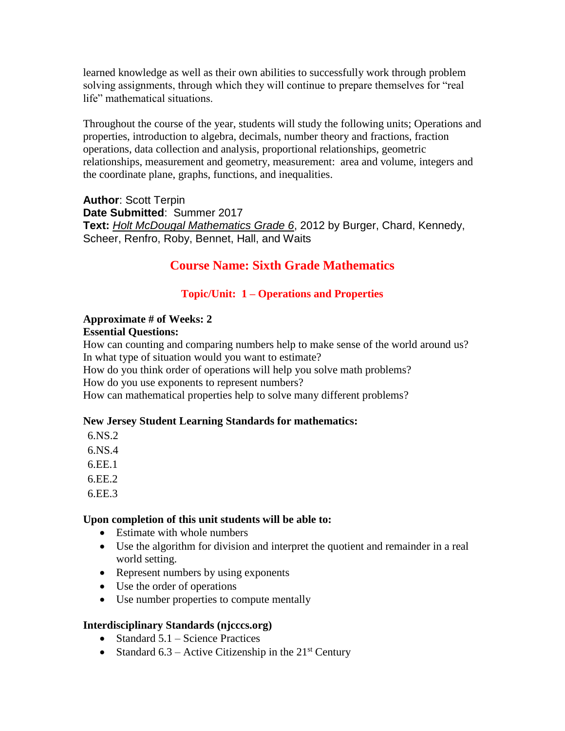learned knowledge as well as their own abilities to successfully work through problem solving assignments, through which they will continue to prepare themselves for "real life" mathematical situations.

Throughout the course of the year, students will study the following units; Operations and properties, introduction to algebra, decimals, number theory and fractions, fraction operations, data collection and analysis, proportional relationships, geometric relationships, measurement and geometry, measurement: area and volume, integers and the coordinate plane, graphs, functions, and inequalities.

**Author**: Scott Terpin **Date Submitted**: Summer 2017 **Text:** *Holt McDougal Mathematics Grade 6*, 2012 by Burger, Chard, Kennedy, Scheer, Renfro, Roby, Bennet, Hall, and Waits

## **Course Name: Sixth Grade Mathematics**

## **Topic/Unit: 1 – Operations and Properties**

## **Approximate # of Weeks: 2**

## **Essential Questions:**

How can counting and comparing numbers help to make sense of the world around us? In what type of situation would you want to estimate?

How do you think order of operations will help you solve math problems?

How do you use exponents to represent numbers?

How can mathematical properties help to solve many different problems?

## **New Jersey Student Learning Standards for mathematics:**

6.NS.2

6.NS.4

6.EE.1

6.EE.2

6.EE.3

## **Upon completion of this unit students will be able to:**

- Estimate with whole numbers
- Use the algorithm for division and interpret the quotient and remainder in a real world setting.
- Represent numbers by using exponents
- Use the order of operations
- Use number properties to compute mentally

## **Interdisciplinary Standards (njcccs.org)**

- Standard  $5.1$  Science Practices
- Standard 6.3 Active Citizenship in the  $21<sup>st</sup>$  Century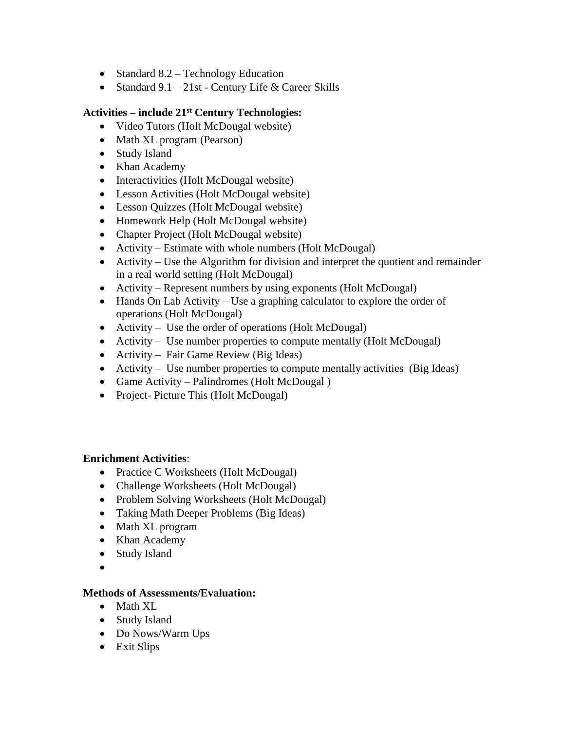- Standard  $8.2$  Technology Education
- Standard  $9.1 21$ st Century Life & Career Skills

## **Activities – include 21st Century Technologies:**

- Video Tutors (Holt McDougal website)
- Math XL program (Pearson)
- Study Island
- Khan Academy
- Interactivities (Holt McDougal website)
- Lesson Activities (Holt McDougal website)
- Lesson Quizzes (Holt McDougal website)
- Homework Help (Holt McDougal website)
- Chapter Project (Holt McDougal website)
- Activity Estimate with whole numbers (Holt McDougal)
- Activity Use the Algorithm for division and interpret the quotient and remainder in a real world setting (Holt McDougal)
- Activity Represent numbers by using exponents (Holt McDougal)
- $\bullet$  Hands On Lab Activity Use a graphing calculator to explore the order of operations (Holt McDougal)
- Activity Use the order of operations (Holt McDougal)
- Activity Use number properties to compute mentally (Holt McDougal)
- Activity Fair Game Review (Big Ideas)
- Activity Use number properties to compute mentally activities (Big Ideas)
- Game Activity Palindromes (Holt McDougal)
- Project- Picture This (Holt McDougal)

## **Enrichment Activities**:

- Practice C Worksheets (Holt McDougal)
- Challenge Worksheets (Holt McDougal)
- Problem Solving Worksheets (Holt McDougal)
- Taking Math Deeper Problems (Big Ideas)
- Math XL program
- Khan Academy
- Study Island
- $\bullet$

- Math XL
- Study Island
- Do Nows/Warm Ups
- Exit Slips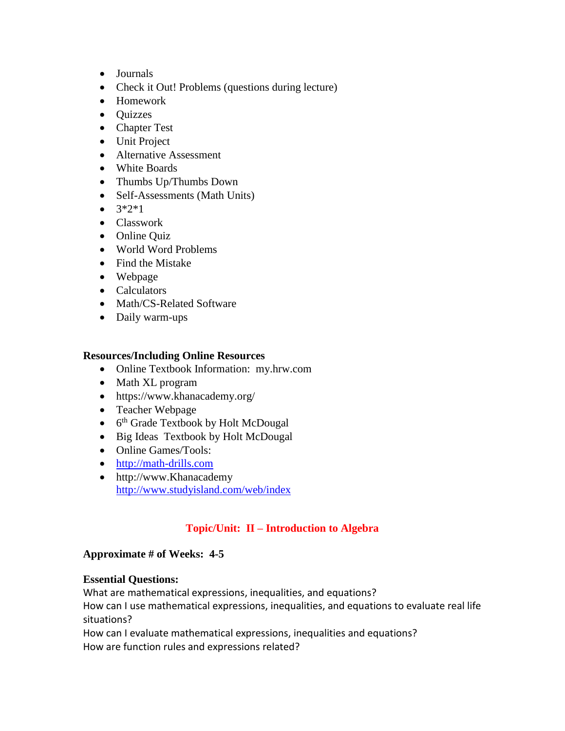- Journals
- Check it Out! Problems (questions during lecture)
- Homework
- **Ouizzes**
- Chapter Test
- Unit Project
- Alternative Assessment
- White Boards
- Thumbs Up/Thumbs Down
- Self-Assessments (Math Units)
- $3*2*1$
- Classwork
- Online Quiz
- World Word Problems
- Find the Mistake
- Webpage
- Calculators
- Math/CS-Related Software
- Daily warm-ups

- Online Textbook Information: my.hrw.com
- Math XL program
- https://www.khanacademy.org/
- Teacher Webpage
- 6<sup>th</sup> Grade Textbook by Holt McDougal
- Big Ideas Textbook by Holt McDougal
- Online Games/Tools:
- [http://math-drills.com](http://math-drills.com/)
- http://www.Khanacademy <http://www.studyisland.com/web/index>

## **Topic/Unit: II – Introduction to Algebra**

## **Approximate # of Weeks: 4-5**

## **Essential Questions:**

What are mathematical expressions, inequalities, and equations?

How can I use mathematical expressions, inequalities, and equations to evaluate real life situations?

How can I evaluate mathematical expressions, inequalities and equations? How are function rules and expressions related?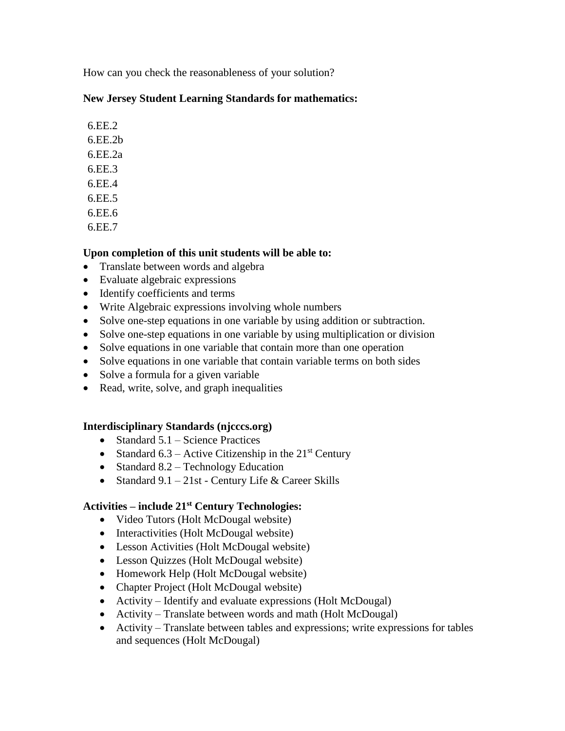How can you check the reasonableness of your solution?

## **New Jersey Student Learning Standards for mathematics:**

6.EE.2

6.EE.2b

6.EE.2a

- 6.EE.3
- 6.EE.4

6.EE.5 6.EE.6

6.EE.7

## **Upon completion of this unit students will be able to:**

- Translate between words and algebra
- Evaluate algebraic expressions
- Identify coefficients and terms
- Write Algebraic expressions involving whole numbers
- Solve one-step equations in one variable by using addition or subtraction.
- Solve one-step equations in one variable by using multiplication or division
- Solve equations in one variable that contain more than one operation
- Solve equations in one variable that contain variable terms on both sides
- Solve a formula for a given variable
- Read, write, solve, and graph inequalities

## **Interdisciplinary Standards (njcccs.org)**

- $\bullet$  Standard 5.1 Science Practices
- Standard 6.3 Active Citizenship in the  $21<sup>st</sup>$  Century
- Standard  $8.2$  Technology Education
- Standard  $9.1 21$ st Century Life & Career Skills

## **Activities – include 21st Century Technologies:**

- Video Tutors (Holt McDougal website)
- Interactivities (Holt McDougal website)
- Lesson Activities (Holt McDougal website)
- Lesson Quizzes (Holt McDougal website)
- Homework Help (Holt McDougal website)
- Chapter Project (Holt McDougal website)
- Activity Identify and evaluate expressions (Holt McDougal)
- Activity Translate between words and math (Holt McDougal)
- Activity Translate between tables and expressions; write expressions for tables and sequences (Holt McDougal)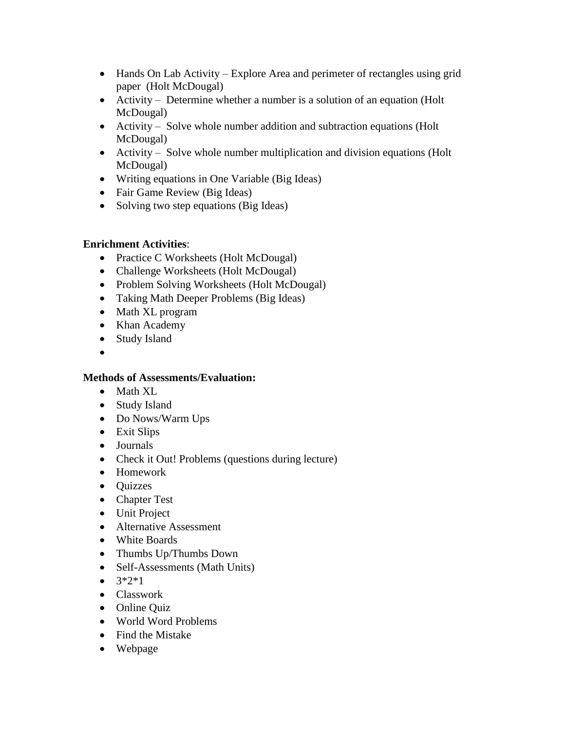- Hands On Lab Activity Explore Area and perimeter of rectangles using grid paper (Holt McDougal)
- Activity Determine whether a number is a solution of an equation (Holt McDougal)
- Activity Solve whole number addition and subtraction equations (Holt McDougal)
- Activity Solve whole number multiplication and division equations (Holt McDougal)
- Writing equations in One Variable (Big Ideas)
- Fair Game Review (Big Ideas)
- Solving two step equations (Big Ideas)

## **Enrichment Activities**:

- Practice C Worksheets (Holt McDougal)
- Challenge Worksheets (Holt McDougal)
- Problem Solving Worksheets (Holt McDougal)
- Taking Math Deeper Problems (Big Ideas)
- Math XL program
- Khan Academy
- Study Island
- $\bullet$

- Math XL
- Study Island
- Do Nows/Warm Ups
- Exit Slips
- Journals
- Check it Out! Problems (questions during lecture)
- Homework
- Quizzes
- Chapter Test
- Unit Project
- Alternative Assessment
- White Boards
- Thumbs Up/Thumbs Down
- Self-Assessments (Math Units)
- $3*2*1$
- Classwork
- Online Quiz
- World Word Problems
- Find the Mistake
- Webpage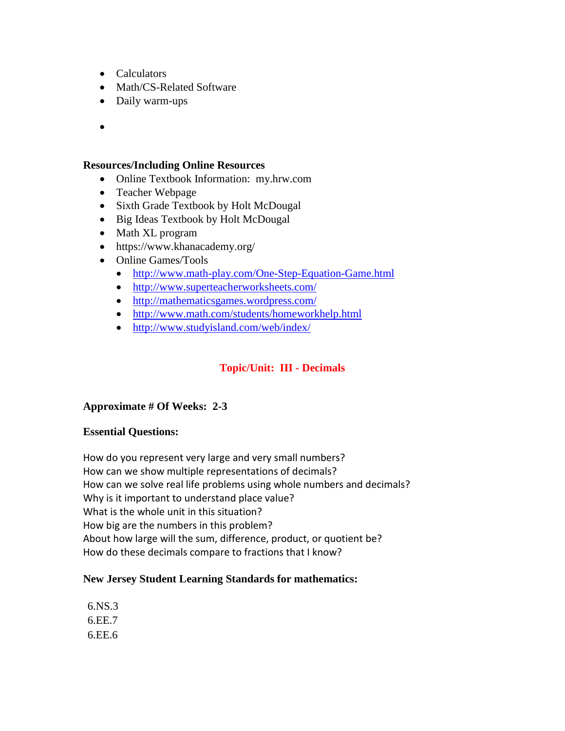- Calculators
- Math/CS-Related Software
- Daily warm-ups
- $\bullet$

- Online Textbook Information: my.hrw.com
- Teacher Webpage
- Sixth Grade Textbook by Holt McDougal
- Big Ideas Textbook by Holt McDougal
- Math XL program
- https://www.khanacademy.org/
- Online Games/Tools
	- <http://www.math-play.com/One-Step-Equation-Game.html>
	- <http://www.superteacherworksheets.com/>
	- <http://mathematicsgames.wordpress.com/>
	- <http://www.math.com/students/homeworkhelp.html>
	- <http://www.studyisland.com/web/index/>

## **Topic/Unit: III - Decimals**

## **Approximate # Of Weeks: 2-3**

#### **Essential Questions:**

How do you represent very large and very small numbers? How can we show multiple representations of decimals? How can we solve real life problems using whole numbers and decimals? Why is it important to understand place value? What is the whole unit in this situation? How big are the numbers in this problem? About how large will the sum, difference, product, or quotient be? How do these decimals compare to fractions that I know?

#### **New Jersey Student Learning Standards for mathematics:**

6.NS.3 6.EE.7 6.EE.6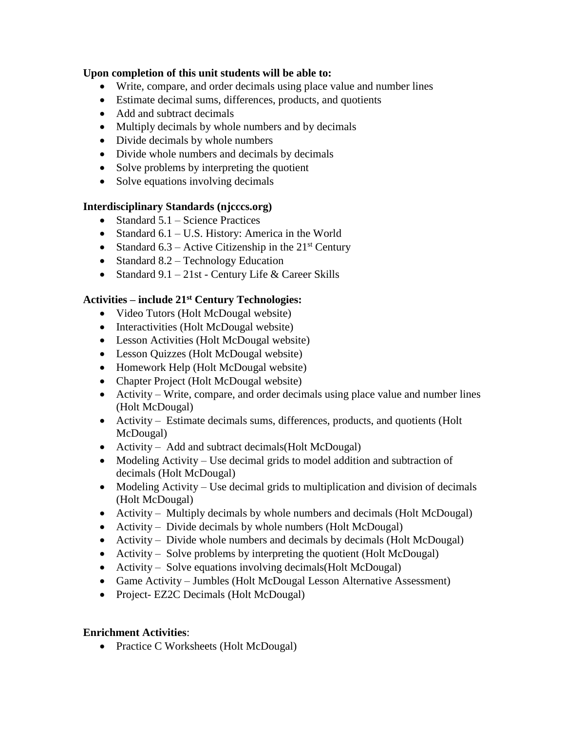### **Upon completion of this unit students will be able to:**

- Write, compare, and order decimals using place value and number lines
- Estimate decimal sums, differences, products, and quotients
- Add and subtract decimals
- Multiply decimals by whole numbers and by decimals
- Divide decimals by whole numbers
- Divide whole numbers and decimals by decimals
- Solve problems by interpreting the quotient
- Solve equations involving decimals

## **Interdisciplinary Standards (njcccs.org)**

- $\bullet$  Standard 5.1 Science Practices
- Standard  $6.1 U.S.$  History: America in the World
- Standard 6.3 Active Citizenship in the  $21<sup>st</sup>$  Century
- Standard  $8.2$  Technology Education
- Standard  $9.1 21$ st Century Life & Career Skills

## **Activities – include 21st Century Technologies:**

- Video Tutors (Holt McDougal website)
- Interactivities (Holt McDougal website)
- Lesson Activities (Holt McDougal website)
- Lesson Quizzes (Holt McDougal website)
- Homework Help (Holt McDougal website)
- Chapter Project (Holt McDougal website)
- Activity Write, compare, and order decimals using place value and number lines (Holt McDougal)
- Activity Estimate decimals sums, differences, products, and quotients (Holt McDougal)
- Activity Add and subtract decimals (Holt McDougal)
- Modeling Activity Use decimal grids to model addition and subtraction of decimals (Holt McDougal)
- Modeling Activity Use decimal grids to multiplication and division of decimals (Holt McDougal)
- Activity Multiply decimals by whole numbers and decimals (Holt McDougal)
- Activity Divide decimals by whole numbers (Holt McDougal)
- Activity Divide whole numbers and decimals by decimals (Holt McDougal)
- Activity Solve problems by interpreting the quotient (Holt McDougal)
- Activity Solve equations involving decimals (Holt McDougal)
- Game Activity Jumbles (Holt McDougal Lesson Alternative Assessment)
- Project- EZ2C Decimals (Holt McDougal)

## **Enrichment Activities**:

• Practice C Worksheets (Holt McDougal)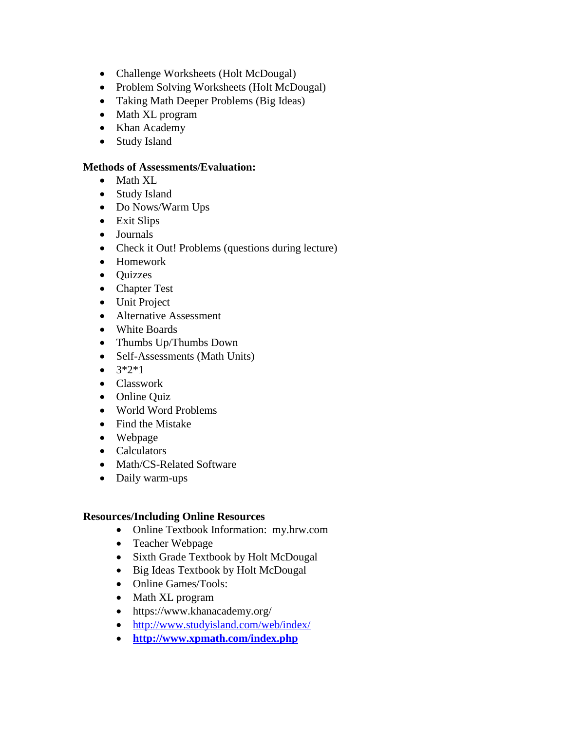- Challenge Worksheets (Holt McDougal)
- Problem Solving Worksheets (Holt McDougal)
- Taking Math Deeper Problems (Big Ideas)
- Math XL program
- Khan Academy
- Study Island

#### **Methods of Assessments/Evaluation:**

- Math XL
- Study Island
- Do Nows/Warm Ups
- Exit Slips
- Journals
- Check it Out! Problems (questions during lecture)
- Homework
- Ouizzes
- Chapter Test
- Unit Project
- Alternative Assessment
- White Boards
- Thumbs Up/Thumbs Down
- Self-Assessments (Math Units)
- $3*2*1$
- Classwork
- Online Quiz
- World Word Problems
- Find the Mistake
- Webpage
- Calculators
- Math/CS-Related Software
- Daily warm-ups

#### **Resources/Including Online Resources**

- Online Textbook Information: my.hrw.com
- Teacher Webpage
- Sixth Grade Textbook by Holt McDougal
- Big Ideas Textbook by Holt McDougal
- Online Games/Tools:
- Math XL program
- https://www.khanacademy.org/
- <http://www.studyisland.com/web/index/>
- **<http://www.xpmath.com/index.php>**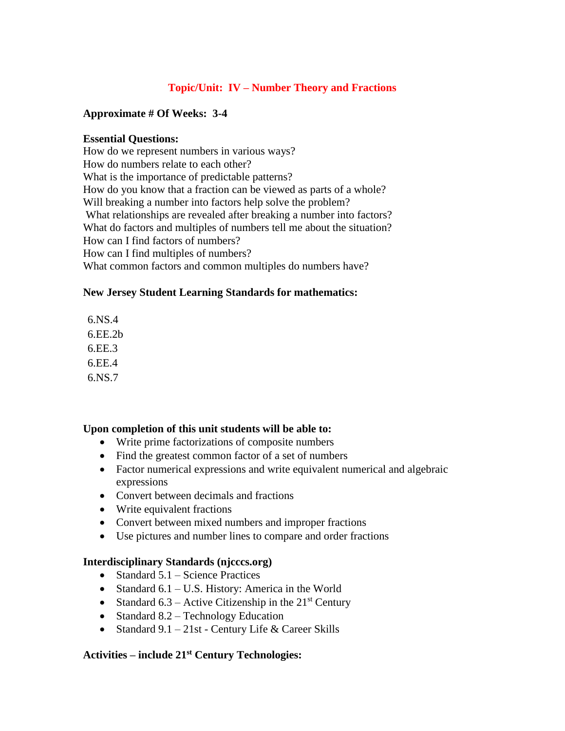## **Topic/Unit: IV – Number Theory and Fractions**

#### **Approximate # Of Weeks: 3-4**

#### **Essential Questions:**

How do we represent numbers in various ways? How do numbers relate to each other? What is the importance of predictable patterns? How do you know that a fraction can be viewed as parts of a whole? Will breaking a number into factors help solve the problem? What relationships are revealed after breaking a number into factors? What do factors and multiples of numbers tell me about the situation? How can I find factors of numbers? How can I find multiples of numbers? What common factors and common multiples do numbers have?

### **New Jersey Student Learning Standards for mathematics:**

6.NS.4 6.EE.2b 6.EE.3 6.EE.4 6.NS.7

#### **Upon completion of this unit students will be able to:**

- Write prime factorizations of composite numbers
- Find the greatest common factor of a set of numbers
- Factor numerical expressions and write equivalent numerical and algebraic expressions
- Convert between decimals and fractions
- Write equivalent fractions
- Convert between mixed numbers and improper fractions
- Use pictures and number lines to compare and order fractions

#### **Interdisciplinary Standards (njcccs.org)**

- Standard  $5.1$  Science Practices
- Standard  $6.1 U.S.$  History: America in the World
- Standard 6.3 Active Citizenship in the  $21<sup>st</sup>$  Century
- Standard  $8.2$  Technology Education
- Standard  $9.1 21$ st Century Life & Career Skills

## **Activities – include 21st Century Technologies:**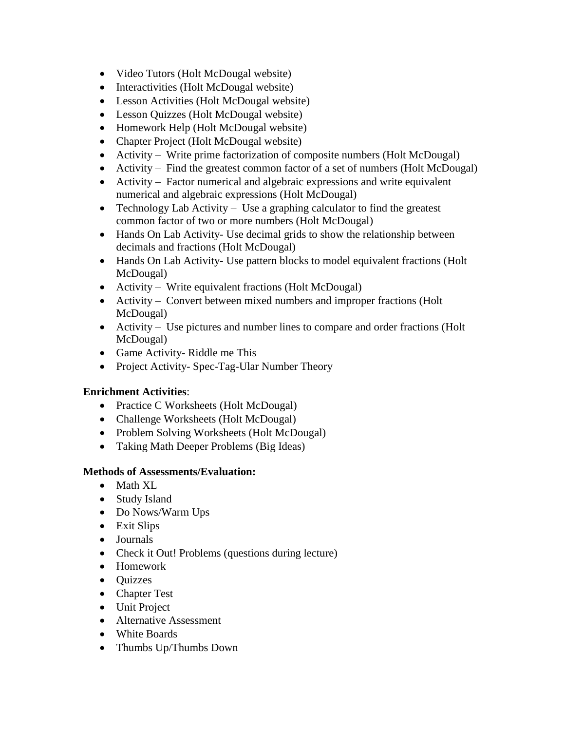- Video Tutors (Holt McDougal website)
- Interactivities (Holt McDougal website)
- Lesson Activities (Holt McDougal website)
- Lesson Quizzes (Holt McDougal website)
- Homework Help (Holt McDougal website)
- Chapter Project (Holt McDougal website)
- Activity Write prime factorization of composite numbers (Holt McDougal)
- Activity Find the greatest common factor of a set of numbers (Holt McDougal)
- Activity Factor numerical and algebraic expressions and write equivalent numerical and algebraic expressions (Holt McDougal)
- Technology Lab Activity Use a graphing calculator to find the greatest common factor of two or more numbers (Holt McDougal)
- Hands On Lab Activity- Use decimal grids to show the relationship between decimals and fractions (Holt McDougal)
- Hands On Lab Activity- Use pattern blocks to model equivalent fractions (Holt McDougal)
- Activity Write equivalent fractions (Holt McDougal)
- Activity Convert between mixed numbers and improper fractions (Holt McDougal)
- Activity Use pictures and number lines to compare and order fractions (Holt McDougal)
- Game Activity- Riddle me This
- Project Activity- Spec-Tag-Ular Number Theory

## **Enrichment Activities**:

- Practice C Worksheets (Holt McDougal)
- Challenge Worksheets (Holt McDougal)
- Problem Solving Worksheets (Holt McDougal)
- Taking Math Deeper Problems (Big Ideas)

- Math XL
- Study Island
- Do Nows/Warm Ups
- Exit Slips
- Journals
- Check it Out! Problems (questions during lecture)
- Homework
- Ouizzes
- Chapter Test
- Unit Project
- Alternative Assessment
- White Boards
- Thumbs Up/Thumbs Down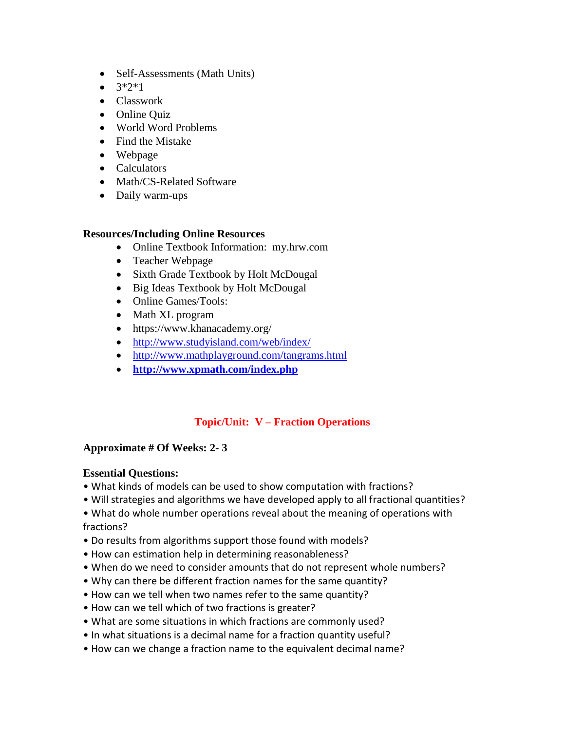- Self-Assessments (Math Units)
- $3*2*1$
- Classwork
- Online Ouiz
- World Word Problems
- Find the Mistake
- Webpage
- Calculators
- Math/CS-Related Software
- Daily warm-ups

- Online Textbook Information: my.hrw.com
- Teacher Webpage
- Sixth Grade Textbook by Holt McDougal
- Big Ideas Textbook by Holt McDougal
- Online Games/Tools:
- Math XL program
- https://www.khanacademy.org/
- <http://www.studyisland.com/web/index/>
- <http://www.mathplayground.com/tangrams.html>
- **<http://www.xpmath.com/index.php>**

## **Topic/Unit: V – Fraction Operations**

## **Approximate # Of Weeks: 2- 3**

#### **Essential Questions:**

- What kinds of models can be used to show computation with fractions?
- Will strategies and algorithms we have developed apply to all fractional quantities?
- What do whole number operations reveal about the meaning of operations with fractions?
- Do results from algorithms support those found with models?
- How can estimation help in determining reasonableness?
- When do we need to consider amounts that do not represent whole numbers?
- Why can there be different fraction names for the same quantity?
- How can we tell when two names refer to the same quantity?
- How can we tell which of two fractions is greater?
- What are some situations in which fractions are commonly used?
- In what situations is a decimal name for a fraction quantity useful?
- How can we change a fraction name to the equivalent decimal name?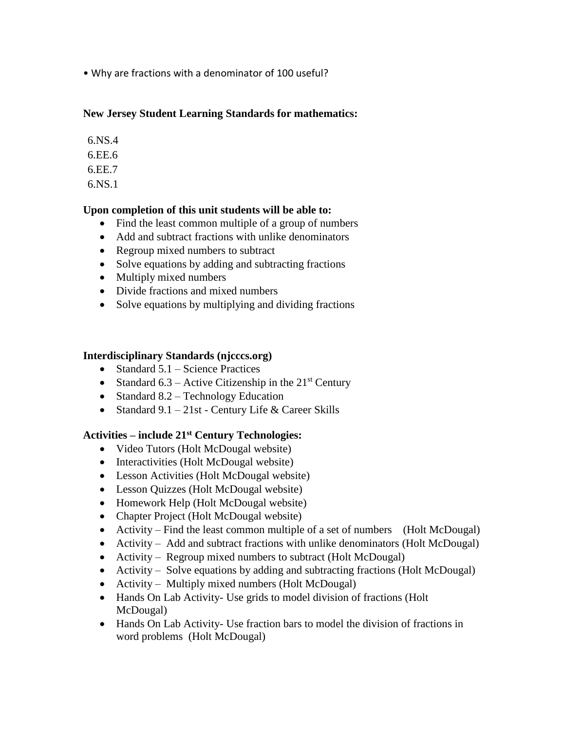• Why are fractions with a denominator of 100 useful?

#### **New Jersey Student Learning Standards for mathematics:**

- 6.NS.4
- 6.EE.6
- 6.EE.7
- 6.NS.1

### **Upon completion of this unit students will be able to:**

- Find the least common multiple of a group of numbers
- Add and subtract fractions with unlike denominators
- Regroup mixed numbers to subtract
- Solve equations by adding and subtracting fractions
- Multiply mixed numbers
- Divide fractions and mixed numbers
- Solve equations by multiplying and dividing fractions

### **Interdisciplinary Standards (njcccs.org)**

- Standard  $5.1$  Science Practices
- Standard 6.3 Active Citizenship in the  $21<sup>st</sup>$  Century
- Standard  $8.2$  Technology Education
- Standard  $9.1 21$ st Century Life & Career Skills

## **Activities – include 21st Century Technologies:**

- Video Tutors (Holt McDougal website)
- Interactivities (Holt McDougal website)
- Lesson Activities (Holt McDougal website)
- Lesson Quizzes (Holt McDougal website)
- Homework Help (Holt McDougal website)
- Chapter Project (Holt McDougal website)
- Activity Find the least common multiple of a set of numbers (Holt McDougal)
- Activity Add and subtract fractions with unlike denominators (Holt McDougal)
- Activity Regroup mixed numbers to subtract (Holt McDougal)
- Activity Solve equations by adding and subtracting fractions (Holt McDougal)
- Activity Multiply mixed numbers (Holt McDougal)
- Hands On Lab Activity- Use grids to model division of fractions (Holt McDougal)
- Hands On Lab Activity- Use fraction bars to model the division of fractions in word problems (Holt McDougal)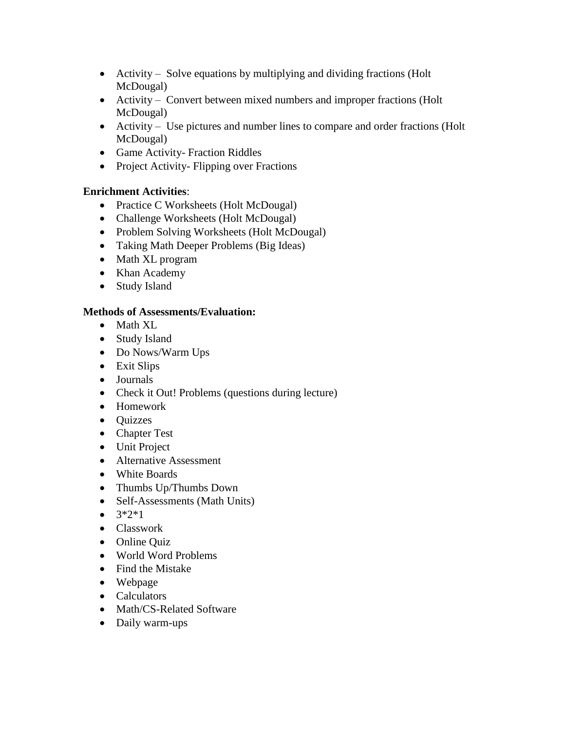- Activity Solve equations by multiplying and dividing fractions (Holt McDougal)
- Activity Convert between mixed numbers and improper fractions (Holt McDougal)
- Activity Use pictures and number lines to compare and order fractions (Holt McDougal)
- Game Activity- Fraction Riddles
- Project Activity- Flipping over Fractions

## **Enrichment Activities**:

- Practice C Worksheets (Holt McDougal)
- Challenge Worksheets (Holt McDougal)
- Problem Solving Worksheets (Holt McDougal)
- Taking Math Deeper Problems (Big Ideas)
- Math XL program
- Khan Academy
- Study Island

- Math XL
- Study Island
- Do Nows/Warm Ups
- Exit Slips
- Journals
- Check it Out! Problems (questions during lecture)
- Homework
- Quizzes
- Chapter Test
- Unit Project
- Alternative Assessment
- White Boards
- Thumbs Up/Thumbs Down
- Self-Assessments (Math Units)
- $3*2*1$
- Classwork
- Online Quiz
- World Word Problems
- Find the Mistake
- Webpage
- Calculators
- Math/CS-Related Software
- Daily warm-ups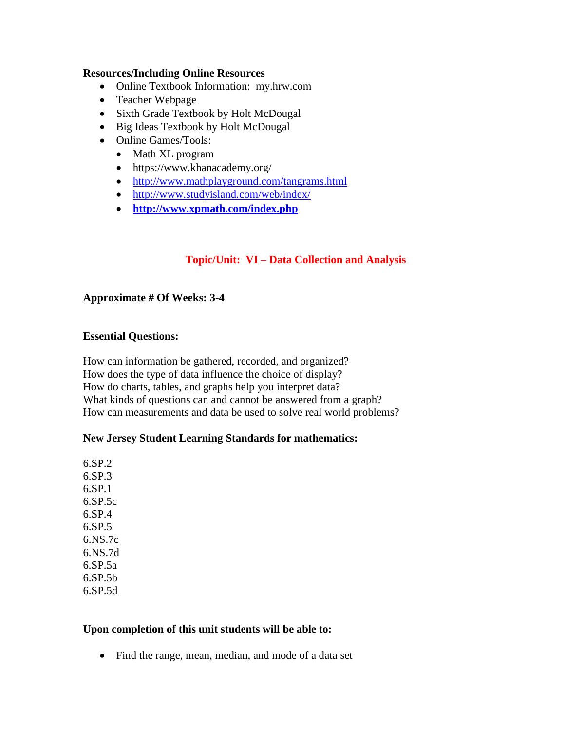- Online Textbook Information: my.hrw.com
- Teacher Webpage
- Sixth Grade Textbook by Holt McDougal
- Big Ideas Textbook by Holt McDougal
- Online Games/Tools:
	- Math XL program
	- https://www.khanacademy.org/
	- <http://www.mathplayground.com/tangrams.html>
	- <http://www.studyisland.com/web/index/>
	- **<http://www.xpmath.com/index.php>**

## **Topic/Unit: VI – Data Collection and Analysis**

#### **Approximate # Of Weeks: 3-4**

#### **Essential Questions:**

How can information be gathered, recorded, and organized? How does the type of data influence the choice of display? How do charts, tables, and graphs help you interpret data? What kinds of questions can and cannot be answered from a graph? How can measurements and data be used to solve real world problems?

#### **New Jersey Student Learning Standards for mathematics:**

6.SP.2 6.SP.3 6.SP.1 6.SP.5c 6.SP.4 6.SP.5 6.NS.7c 6.NS.7d 6.SP.5a 6.SP.5b 6.SP.5d

#### **Upon completion of this unit students will be able to:**

• Find the range, mean, median, and mode of a data set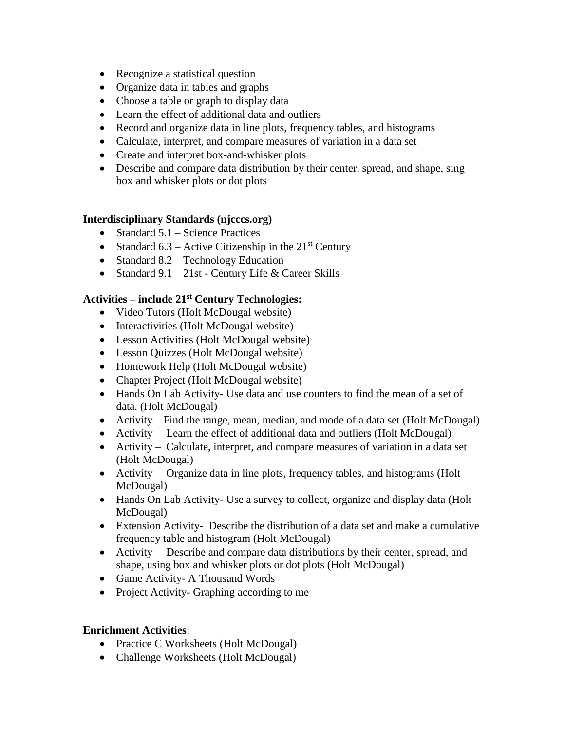- Recognize a statistical question
- Organize data in tables and graphs
- Choose a table or graph to display data
- Learn the effect of additional data and outliers
- Record and organize data in line plots, frequency tables, and histograms
- Calculate, interpret, and compare measures of variation in a data set
- Create and interpret box-and-whisker plots
- Describe and compare data distribution by their center, spread, and shape, sing box and whisker plots or dot plots

## **Interdisciplinary Standards (njcccs.org)**

- Standard  $5.1$  Science Practices
- Standard 6.3 Active Citizenship in the  $21<sup>st</sup>$  Century
- Standard  $8.2$  Technology Education
- Standard  $9.1 21$ st Century Life & Career Skills

## **Activities – include 21st Century Technologies:**

- Video Tutors (Holt McDougal website)
- Interactivities (Holt McDougal website)
- Lesson Activities (Holt McDougal website)
- Lesson Quizzes (Holt McDougal website)
- Homework Help (Holt McDougal website)
- Chapter Project (Holt McDougal website)
- Hands On Lab Activity- Use data and use counters to find the mean of a set of data. (Holt McDougal)
- Activity Find the range, mean, median, and mode of a data set (Holt McDougal)
- Activity Learn the effect of additional data and outliers (Holt McDougal)
- Activity Calculate, interpret, and compare measures of variation in a data set (Holt McDougal)
- Activity Organize data in line plots, frequency tables, and histograms (Holt McDougal)
- Hands On Lab Activity- Use a survey to collect, organize and display data (Holt McDougal)
- Extension Activity- Describe the distribution of a data set and make a cumulative frequency table and histogram (Holt McDougal)
- Activity Describe and compare data distributions by their center, spread, and shape, using box and whisker plots or dot plots (Holt McDougal)
- Game Activity- A Thousand Words
- Project Activity- Graphing according to me

## **Enrichment Activities**:

- Practice C Worksheets (Holt McDougal)
- Challenge Worksheets (Holt McDougal)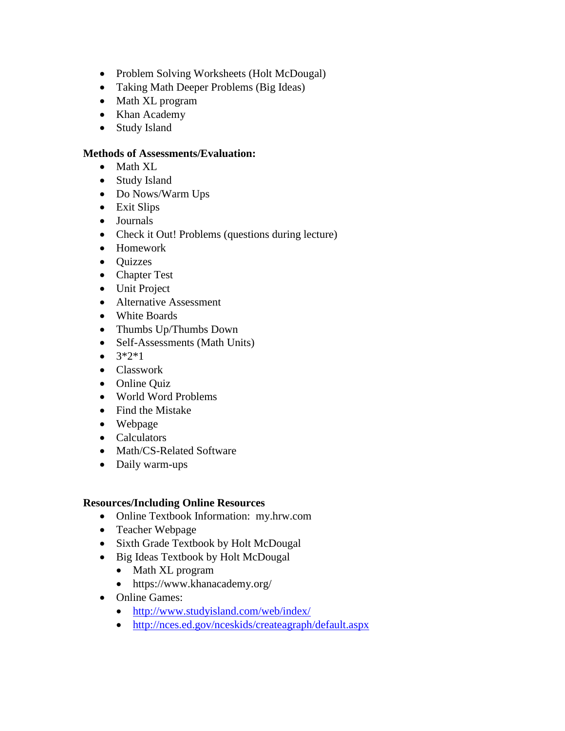- Problem Solving Worksheets (Holt McDougal)
- Taking Math Deeper Problems (Big Ideas)
- Math XL program
- Khan Academy
- Study Island

### **Methods of Assessments/Evaluation:**

- Math XL
- Study Island
- Do Nows/Warm Ups
- Exit Slips
- Journals
- Check it Out! Problems (questions during lecture)
- Homework
- Quizzes
- Chapter Test
- Unit Project
- Alternative Assessment
- White Boards
- Thumbs Up/Thumbs Down
- Self-Assessments (Math Units)
- $3*2*1$
- Classwork
- Online Quiz
- World Word Problems
- Find the Mistake
- Webpage
- Calculators
- Math/CS-Related Software
- Daily warm-ups

#### **Resources/Including Online Resources**

- Online Textbook Information: my.hrw.com
- Teacher Webpage
- Sixth Grade Textbook by Holt McDougal
- Big Ideas Textbook by Holt McDougal
	- Math XL program
	- https://www.khanacademy.org/
- Online Games:
	- <http://www.studyisland.com/web/index/>
	- <http://nces.ed.gov/nceskids/createagraph/default.aspx>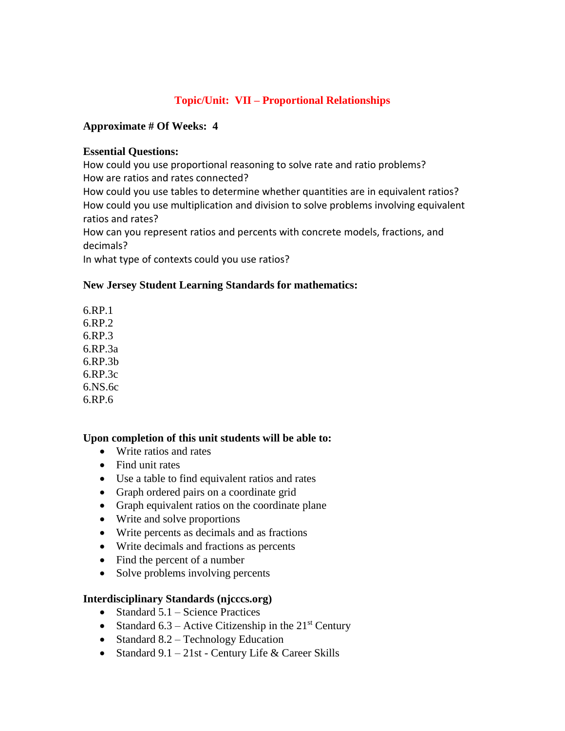## **Topic/Unit: VII – Proportional Relationships**

### **Approximate # Of Weeks: 4**

#### **Essential Questions:**

How could you use proportional reasoning to solve rate and ratio problems? How are ratios and rates connected?

How could you use tables to determine whether quantities are in equivalent ratios? How could you use multiplication and division to solve problems involving equivalent ratios and rates?

How can you represent ratios and percents with concrete models, fractions, and decimals?

In what type of contexts could you use ratios?

#### **New Jersey Student Learning Standards for mathematics:**

6.RP.1 6.RP.2 6.RP.3 6.RP.3a 6.RP.3b 6.RP.3c 6.NS.6c 6.RP.6

#### **Upon completion of this unit students will be able to:**

- Write ratios and rates
- Find unit rates
- Use a table to find equivalent ratios and rates
- Graph ordered pairs on a coordinate grid
- Graph equivalent ratios on the coordinate plane
- Write and solve proportions
- Write percents as decimals and as fractions
- Write decimals and fractions as percents
- Find the percent of a number
- Solve problems involving percents

#### **Interdisciplinary Standards (njcccs.org)**

- Standard  $5.1$  Science Practices
- Standard 6.3 Active Citizenship in the  $21<sup>st</sup>$  Century
- Standard  $8.2$  Technology Education
- Standard  $9.1 21$ st Century Life & Career Skills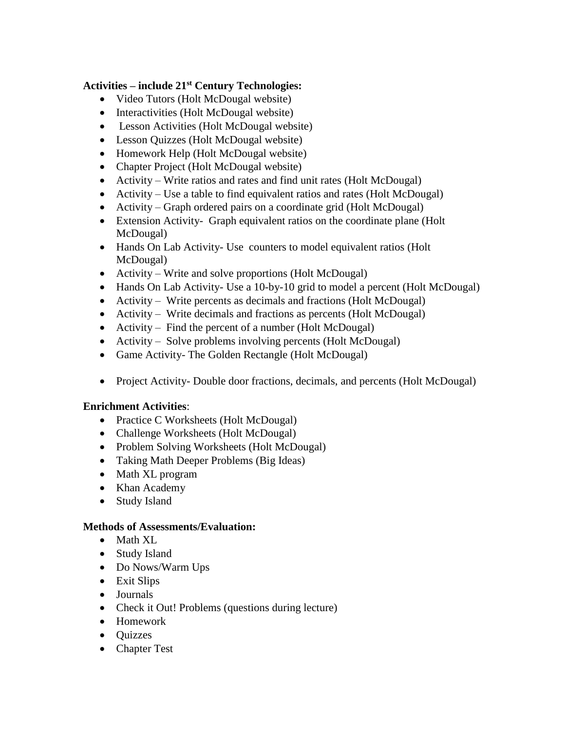## **Activities – include 21st Century Technologies:**

- Video Tutors (Holt McDougal website)
- Interactivities (Holt McDougal website)
- Lesson Activities (Holt McDougal website)
- Lesson Quizzes (Holt McDougal website)
- Homework Help (Holt McDougal website)
- Chapter Project (Holt McDougal website)
- Activity Write ratios and rates and find unit rates (Holt McDougal)
- Activity Use a table to find equivalent ratios and rates (Holt McDougal)
- Activity Graph ordered pairs on a coordinate grid (Holt McDougal)
- Extension Activity- Graph equivalent ratios on the coordinate plane (Holt McDougal)
- Hands On Lab Activity- Use counters to model equivalent ratios (Holt McDougal)
- Activity Write and solve proportions (Holt McDougal)
- Hands On Lab Activity- Use a 10-by-10 grid to model a percent (Holt McDougal)
- Activity Write percents as decimals and fractions (Holt McDougal)
- Activity Write decimals and fractions as percents (Holt McDougal)
- Activity Find the percent of a number (Holt McDougal)
- Activity Solve problems involving percents (Holt McDougal)
- Game Activity- The Golden Rectangle (Holt McDougal)
- Project Activity- Double door fractions, decimals, and percents (Holt McDougal)

## **Enrichment Activities**:

- Practice C Worksheets (Holt McDougal)
- Challenge Worksheets (Holt McDougal)
- Problem Solving Worksheets (Holt McDougal)
- Taking Math Deeper Problems (Big Ideas)
- Math XL program
- Khan Academy
- Study Island

- Math XL
- Study Island
- Do Nows/Warm Ups
- Exit Slips
- Journals
- Check it Out! Problems (questions during lecture)
- Homework
- Ouizzes
- Chapter Test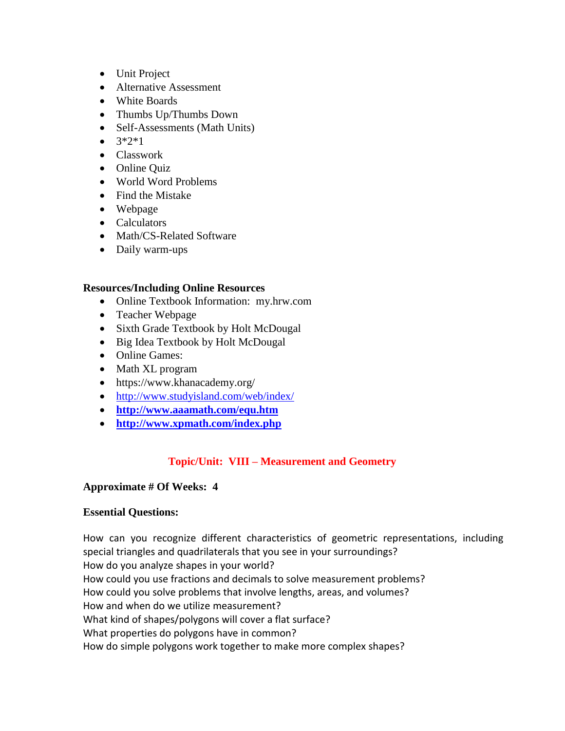- Unit Project
- Alternative Assessment
- White Boards
- Thumbs Up/Thumbs Down
- Self-Assessments (Math Units)
- $3*2*1$
- Classwork
- Online Ouiz
- World Word Problems
- Find the Mistake
- Webpage
- Calculators
- Math/CS-Related Software
- Daily warm-ups

- Online Textbook Information: my.hrw.com
- Teacher Webpage
- Sixth Grade Textbook by Holt McDougal
- Big Idea Textbook by Holt McDougal
- Online Games:
- Math XL program
- https://www.khanacademy.org/
- <http://www.studyisland.com/web/index/>
- **<http://www.aaamath.com/equ.htm>**
- **<http://www.xpmath.com/index.php>**

## **Topic/Unit: VIII – Measurement and Geometry**

## **Approximate # Of Weeks: 4**

## **Essential Questions:**

How can you recognize different characteristics of geometric representations, including special triangles and quadrilaterals that you see in your surroundings? How do you analyze shapes in your world? How could you use fractions and decimals to solve measurement problems? How could you solve problems that involve lengths, areas, and volumes? How and when do we utilize measurement? What kind of shapes/polygons will cover a flat surface? What properties do polygons have in common? How do simple polygons work together to make more complex shapes?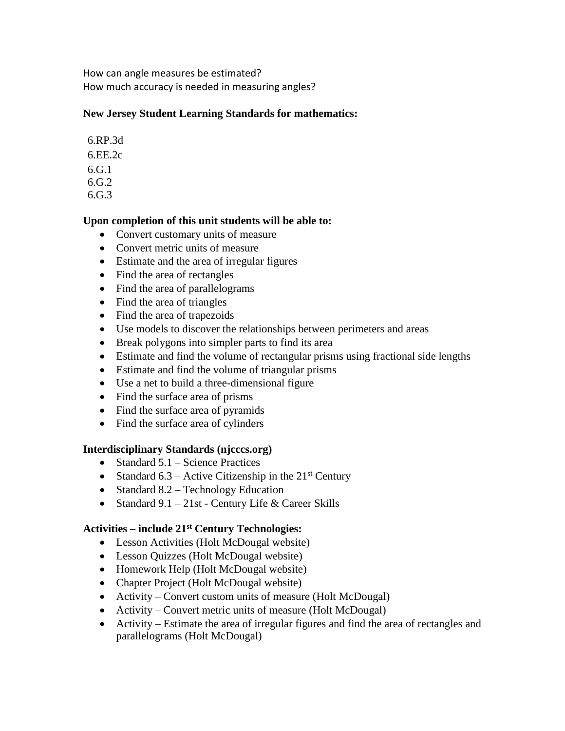How can angle measures be estimated? How much accuracy is needed in measuring angles?

## **New Jersey Student Learning Standards for mathematics:**

- 6.RP.3d
- 6.EE.2c
- 6.G.1
- 6.G.2
- 6.G.3

## **Upon completion of this unit students will be able to:**

- Convert customary units of measure
- Convert metric units of measure
- Estimate and the area of irregular figures
- Find the area of rectangles
- Find the area of parallelograms
- Find the area of triangles
- Find the area of trapezoids
- Use models to discover the relationships between perimeters and areas
- Break polygons into simpler parts to find its area
- Estimate and find the volume of rectangular prisms using fractional side lengths
- Estimate and find the volume of triangular prisms
- Use a net to build a three-dimensional figure
- Find the surface area of prisms
- Find the surface area of pyramids
- Find the surface area of cylinders

## **Interdisciplinary Standards (njcccs.org)**

- Standard  $5.1$  Science Practices
- Standard 6.3 Active Citizenship in the  $21<sup>st</sup>$  Century
- Standard  $8.2$  Technology Education
- Standard  $9.1 21$ st Century Life & Career Skills

## **Activities – include 21st Century Technologies:**

- Lesson Activities (Holt McDougal website)
- Lesson Quizzes (Holt McDougal website)
- Homework Help (Holt McDougal website)
- Chapter Project (Holt McDougal website)
- Activity Convert custom units of measure (Holt McDougal)
- Activity Convert metric units of measure (Holt McDougal)
- Activity Estimate the area of irregular figures and find the area of rectangles and parallelograms (Holt McDougal)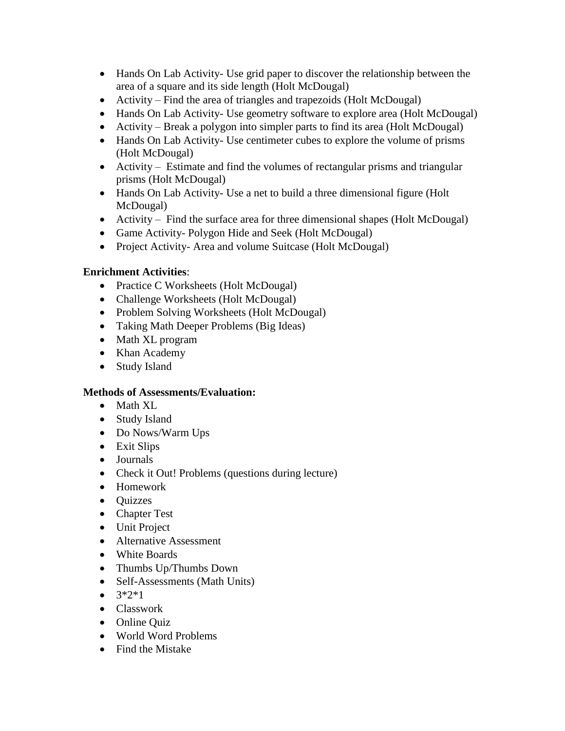- Hands On Lab Activity- Use grid paper to discover the relationship between the area of a square and its side length (Holt McDougal)
- Activity Find the area of triangles and trapezoids (Holt McDougal)
- Hands On Lab Activity- Use geometry software to explore area (Holt McDougal)
- Activity Break a polygon into simpler parts to find its area (Holt McDougal)
- Hands On Lab Activity- Use centimeter cubes to explore the volume of prisms (Holt McDougal)
- Activity Estimate and find the volumes of rectangular prisms and triangular prisms (Holt McDougal)
- Hands On Lab Activity- Use a net to build a three dimensional figure (Holt McDougal)
- Activity Find the surface area for three dimensional shapes (Holt McDougal)
- Game Activity- Polygon Hide and Seek (Holt McDougal)
- Project Activity- Area and volume Suitcase (Holt McDougal)

## **Enrichment Activities**:

- Practice C Worksheets (Holt McDougal)
- Challenge Worksheets (Holt McDougal)
- Problem Solving Worksheets (Holt McDougal)
- Taking Math Deeper Problems (Big Ideas)
- Math XL program
- Khan Academy
- Study Island

- Math XL
- Study Island
- Do Nows/Warm Ups
- Exit Slips
- Journals
- Check it Out! Problems (questions during lecture)
- Homework
- Quizzes
- Chapter Test
- Unit Project
- Alternative Assessment
- White Boards
- Thumbs Up/Thumbs Down
- Self-Assessments (Math Units)
- $3*2*1$
- Classwork
- Online Quiz
- World Word Problems
- Find the Mistake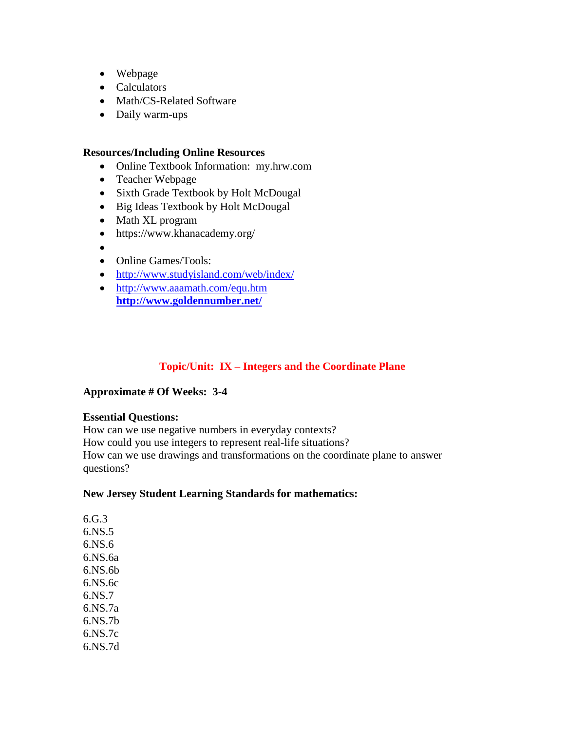- Webpage
- Calculators
- Math/CS-Related Software
- Daily warm-ups

- Online Textbook Information: my.hrw.com
- Teacher Webpage
- Sixth Grade Textbook by Holt McDougal
- Big Ideas Textbook by Holt McDougal
- Math XL program
- https://www.khanacademy.org/
- $\bullet$
- Online Games/Tools:
- <http://www.studyisland.com/web/index/>
- <http://www.aaamath.com/equ.htm> **<http://www.goldennumber.net/>**

## **Topic/Unit: IX – Integers and the Coordinate Plane**

#### **Approximate # Of Weeks: 3-4**

#### **Essential Questions:**

How can we use negative numbers in everyday contexts? How could you use integers to represent real-life situations? How can we use drawings and transformations on the coordinate plane to answer questions?

#### **New Jersey Student Learning Standards for mathematics:**

6.G.3 6.NS.5 6.NS.6 6.NS.6a 6.NS.6b 6.NS.6c 6.NS.7 6.NS.7a 6.NS.7b 6.NS.7c 6.NS.7d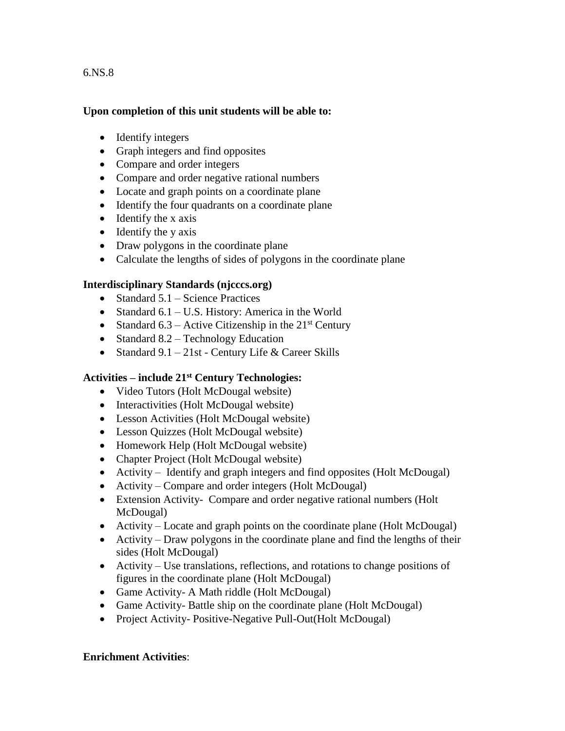#### 6.NS.8

#### **Upon completion of this unit students will be able to:**

- Identify integers
- Graph integers and find opposites
- Compare and order integers
- Compare and order negative rational numbers
- Locate and graph points on a coordinate plane
- Identify the four quadrants on a coordinate plane
- Identify the x axis
- Identify the y axis
- Draw polygons in the coordinate plane
- Calculate the lengths of sides of polygons in the coordinate plane

## **Interdisciplinary Standards (njcccs.org)**

- Standard  $5.1$  Science Practices
- Standard  $6.1 U.S.$  History: America in the World
- Standard 6.3 Active Citizenship in the  $21<sup>st</sup>$  Century
- Standard  $8.2$  Technology Education
- Standard  $9.1 21$ st Century Life & Career Skills

## **Activities – include 21st Century Technologies:**

- Video Tutors (Holt McDougal website)
- Interactivities (Holt McDougal website)
- Lesson Activities (Holt McDougal website)
- Lesson Quizzes (Holt McDougal website)
- Homework Help (Holt McDougal website)
- Chapter Project (Holt McDougal website)
- Activity Identify and graph integers and find opposites (Holt McDougal)
- Activity Compare and order integers (Holt McDougal)
- Extension Activity- Compare and order negative rational numbers (Holt McDougal)
- Activity Locate and graph points on the coordinate plane (Holt McDougal)
- Activity Draw polygons in the coordinate plane and find the lengths of their sides (Holt McDougal)
- Activity Use translations, reflections, and rotations to change positions of figures in the coordinate plane (Holt McDougal)
- Game Activity- A Math riddle (Holt McDougal)
- Game Activity- Battle ship on the coordinate plane (Holt McDougal)
- Project Activity-Positive-Negative Pull-Out(Holt McDougal)

## **Enrichment Activities**: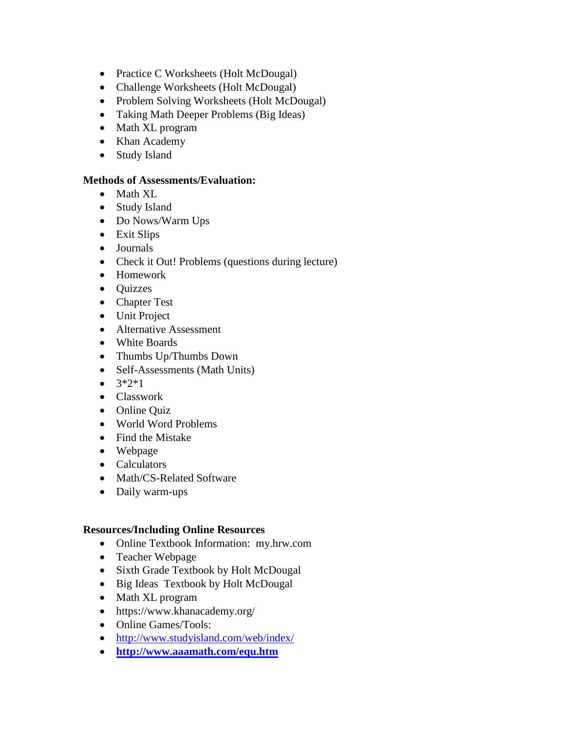- Practice C Worksheets (Holt McDougal)
- Challenge Worksheets (Holt McDougal)
- Problem Solving Worksheets (Holt McDougal)
- Taking Math Deeper Problems (Big Ideas)
- Math XL program
- Khan Academy
- Study Island

## **Methods of Assessments/Evaluation:**

- Math XL
- Study Island
- Do Nows/Warm Ups
- Exit Slips
- Journals
- Check it Out! Problems (questions during lecture)
- Homework
- Quizzes
- Chapter Test
- Unit Project
- Alternative Assessment
- White Boards
- Thumbs Up/Thumbs Down
- Self-Assessments (Math Units)
- $3*2*1$
- Classwork
- Online Quiz
- World Word Problems
- Find the Mistake
- Webpage
- Calculators
- Math/CS-Related Software
- Daily warm-ups

#### **Resources/Including Online Resources**

- Online Textbook Information: my.hrw.com
- Teacher Webpage
- Sixth Grade Textbook by Holt McDougal
- Big Ideas Textbook by Holt McDougal
- Math XL program
- https://www.khanacademy.org/
- Online Games/Tools:
- <http://www.studyisland.com/web/index/>
- **<http://www.aaamath.com/equ.htm>**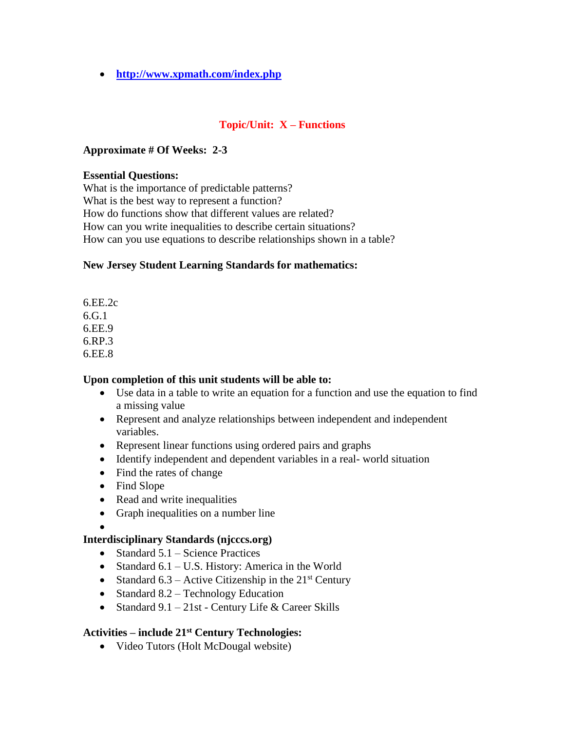**<http://www.xpmath.com/index.php>**

## **Topic/Unit: X – Functions**

#### **Approximate # Of Weeks: 2-3**

#### **Essential Questions:**

What is the importance of predictable patterns? What is the best way to represent a function? How do functions show that different values are related? How can you write inequalities to describe certain situations? How can you use equations to describe relationships shown in a table?

### **New Jersey Student Learning Standards for mathematics:**

6.EE.2c 6.G.1 6.EE.9 6.RP.3 6.EE.8

#### **Upon completion of this unit students will be able to:**

- Use data in a table to write an equation for a function and use the equation to find a missing value
- Represent and analyze relationships between independent and independent variables.
- Represent linear functions using ordered pairs and graphs
- Identify independent and dependent variables in a real- world situation
- Find the rates of change
- Find Slope
- Read and write inequalities
- Graph inequalities on a number line

 $\bullet$ 

#### **Interdisciplinary Standards (njcccs.org)**

- $\bullet$  Standard 5.1 Science Practices
- Standard  $6.1 U.S.$  History: America in the World
- Standard 6.3 Active Citizenship in the  $21<sup>st</sup>$  Century
- Standard 8.2 Technology Education
- Standard  $9.1 21$ st Century Life & Career Skills

## **Activities – include 21st Century Technologies:**

• Video Tutors (Holt McDougal website)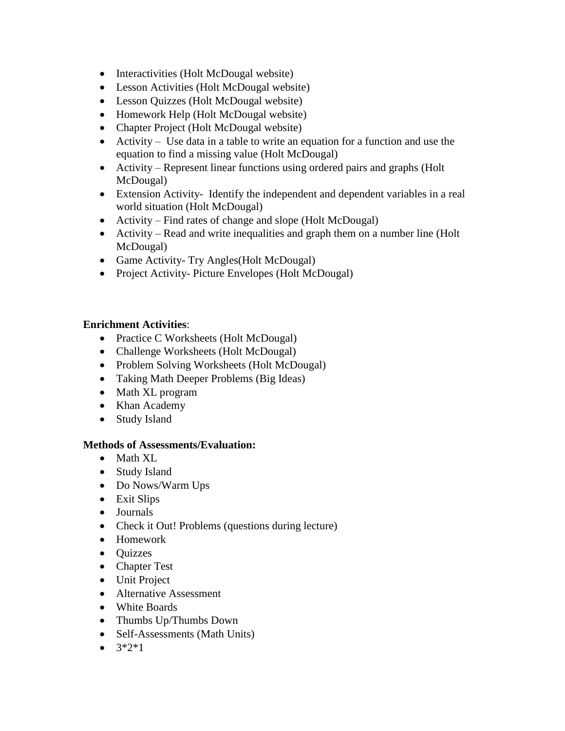- Interactivities (Holt McDougal website)
- Lesson Activities (Holt McDougal website)
- Lesson Quizzes (Holt McDougal website)
- Homework Help (Holt McDougal website)
- Chapter Project (Holt McDougal website)
- Activity Use data in a table to write an equation for a function and use the equation to find a missing value (Holt McDougal)
- Activity Represent linear functions using ordered pairs and graphs (Holt McDougal)
- Extension Activity- Identify the independent and dependent variables in a real world situation (Holt McDougal)
- Activity Find rates of change and slope (Holt McDougal)
- Activity Read and write inequalities and graph them on a number line (Holt McDougal)
- Game Activity- Try Angles (Holt McDougal)
- Project Activity- Picture Envelopes (Holt McDougal)

## **Enrichment Activities**:

- Practice C Worksheets (Holt McDougal)
- Challenge Worksheets (Holt McDougal)
- Problem Solving Worksheets (Holt McDougal)
- Taking Math Deeper Problems (Big Ideas)
- Math XL program
- Khan Academy
- Study Island

- Math XL
- Study Island
- Do Nows/Warm Ups
- Exit Slips
- Journals
- Check it Out! Problems (questions during lecture)
- Homework
- Quizzes
- Chapter Test
- Unit Project
- Alternative Assessment
- White Boards
- Thumbs Up/Thumbs Down
- Self-Assessments (Math Units)
- $3*2*1$